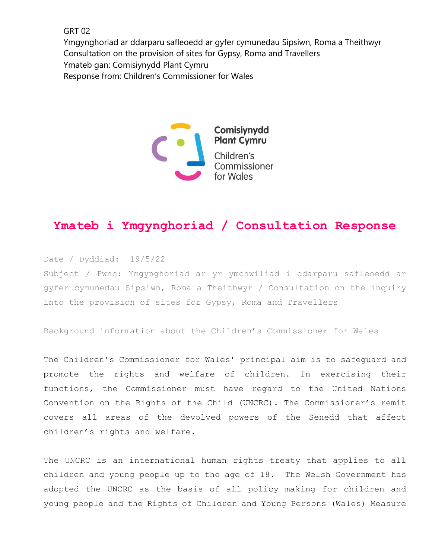GRT 02

Ymgynghoriad ar ddarparu safleoedd ar gyfer cymunedau Sipsiwn, Roma a Theithwyr Consultation on the provision of sites for Gypsy, Roma and Travellers Ymateb gan: Comisiynydd Plant Cymru Response from: Children's Commissioner for Wales



## **Ymateb i Ymgynghoriad / Consultation Response**

Date / Dyddiad: 19/5/22 Subject / Pwnc: Ymgynghoriad ar yr ymchwiliad i ddarparu safleoedd ar gyfer cymunedau Sipsiwn, Roma a Theithwyr / Consultation on the inquiry into the provision of sites for Gypsy, Roma and Travellers

Background information about the Children's Commissioner for Wales

The Children's Commissioner for Wales' principal aim is to safeguard and promote the rights and welfare of children. In exercising their functions, the Commissioner must have regard to the United Nations Convention on the Rights of the Child (UNCRC). The Commissioner's remit covers all areas of the devolved powers of the Senedd that affect children's rights and welfare.

The UNCRC is an international human rights treaty that applies to all children and young people up to the age of 18. The Welsh Government has adopted the UNCRC as the basis of all policy making for children and young people and the Rights of Children and Young Persons (Wales) Measure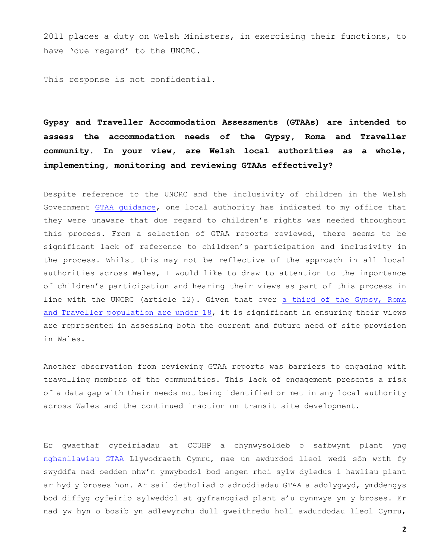2011 places a duty on Welsh Ministers, in exercising their functions, to have 'due regard' to the UNCRC.

This response is not confidential.

**Gypsy and Traveller Accommodation Assessments (GTAAs) are intended to assess the accommodation needs of the Gypsy, Roma and Traveller community. In your view, are Welsh local authorities as a whole, implementing, monitoring and reviewing GTAAs effectively?**

Despite reference to the UNCRC and the inclusivity of children in the Welsh Government [GTAA guidance,](https://gov.wales/sites/default/files/publications/2019-03/undertaking-gypsy-and-traveller-accommodation-assessments.pdf) one local authority has indicated to my office that they were unaware that due regard to children's rights was needed throughout this process. From a selection of GTAA reports reviewed, there seems to be significant lack of reference to children's participation and inclusivity in the process. Whilst this may not be reflective of the approach in all local authorities across Wales, I would like to draw to attention to the importance of children's participation and hearing their views as part of this process in line with the UNCRC (article 12). Given that over [a third of the Gypsy, Roma](https://www.ethnicity-facts-figures.service.gov.uk/summaries/gypsy-roma-irish-traveller#population-data)  [and Traveller population are under 18,](https://www.ethnicity-facts-figures.service.gov.uk/summaries/gypsy-roma-irish-traveller#population-data) it is significant in ensuring their views are represented in assessing both the current and future need of site provision in Wales.

Another observation from reviewing GTAA reports was barriers to engaging with travelling members of the communities. This lack of engagement presents a risk of a data gap with their needs not being identified or met in any local authority across Wales and the continued inaction on transit site development.

Er gwaethaf cyfeiriadau at CCUHP a chynwysoldeb o safbwynt plant yng [nghanllawiau GTAA](https://gov.wales/sites/default/files/publications/2019-03/undertaking-gypsy-and-traveller-accommodation-assessments.pdf) Llywodraeth Cymru, mae un awdurdod lleol wedi sôn wrth fy swyddfa nad oedden nhw'n ymwybodol bod angen rhoi sylw dyledus i hawliau plant ar hyd y broses hon. Ar sail detholiad o adroddiadau GTAA a adolygwyd, ymddengys bod diffyg cyfeirio sylweddol at gyfranogiad plant a'u cynnwys yn y broses. Er nad yw hyn o bosib yn adlewyrchu dull gweithredu holl awdurdodau lleol Cymru,

**2**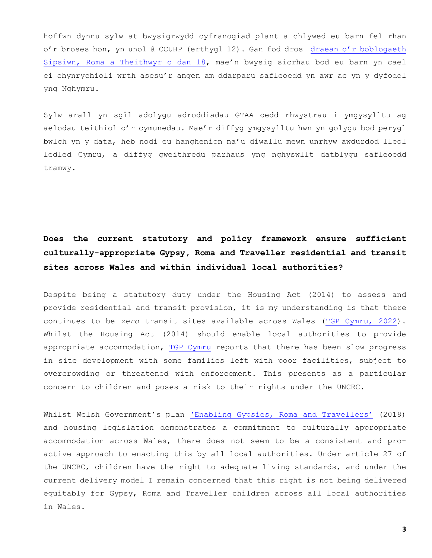hoffwn dynnu sylw at bwysigrwydd cyfranogiad plant a chlywed eu barn fel rhan o'r broses hon, yn unol â CCUHP (erthygl 12). Gan fod dros [draean o'r boblogaeth](https://www.ethnicity-facts-figures.service.gov.uk/summaries/gypsy-roma-irish-traveller#population-data)  [Sipsiwn, Roma a Theithwyr o dan 18](https://www.ethnicity-facts-figures.service.gov.uk/summaries/gypsy-roma-irish-traveller#population-data), mae'n bwysig sicrhau bod eu barn yn cael ei chynrychioli wrth asesu'r angen am ddarparu safleoedd yn awr ac yn y dyfodol yng Nghymru.

Sylw arall yn sgîl adolygu adroddiadau GTAA oedd rhwystrau i ymgysylltu ag aelodau teithiol o'r cymunedau. Mae'r diffyg ymgysylltu hwn yn golygu bod perygl bwlch yn y data, heb nodi eu hanghenion na'u diwallu mewn unrhyw awdurdod lleol ledled Cymru, a diffyg gweithredu parhaus yng nghyswllt datblygu safleoedd tramwy.

## **Does the current statutory and policy framework ensure sufficient culturally-appropriate Gypsy, Roma and Traveller residential and transit sites across Wales and within individual local authorities?**

Despite being a statutory duty under the Housing Act (2014) to assess and provide residential and transit provision, it is my understanding is that there continues to be *zero* transit sites available across Wales [\(TGP Cymru, 2022\)](https://business.senedd.wales/documents/s123172/Paper%2015.pdf). Whilst the Housing Act (2014) should enable local authorities to provide appropriate accommodation, [TGP Cymru](https://business.senedd.wales/documents/s123172/Paper%2015.pdf) reports that there has been slow progress in site development with some families left with poor facilities, subject to overcrowding or threatened with enforcement. This presents as a particular concern to children and poses a risk to their rights under the UNCRC.

Whilst Welsh Government's plan ['Enabling Gypsies, Roma and Travellers'](https://gov.wales/sites/default/files/publications/2019-02/enabling-gypsies-roma-and-travellers_0.pdf#:~:text=Enabling%20Gypsies%2C%20Roma%20and%20Travellers%20replaces%20the%20Welsh,Act%202014%20placed%20duties%20upon%20local%20authorities%20to) (2018) and housing legislation demonstrates a commitment to culturally appropriate accommodation across Wales, there does not seem to be a consistent and proactive approach to enacting this by all local authorities. Under article 27 of the UNCRC, children have the right to adequate living standards, and under the current delivery model I remain concerned that this right is not being delivered equitably for Gypsy, Roma and Traveller children across all local authorities in Wales.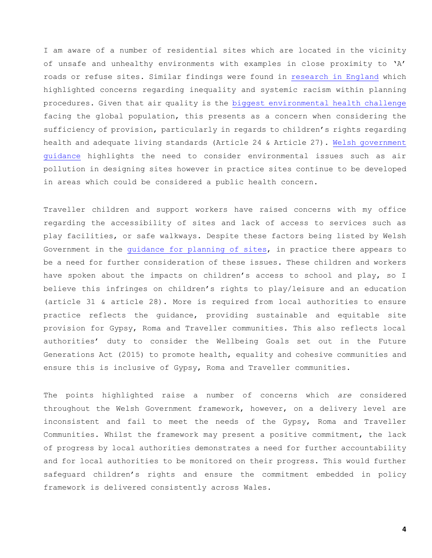I am aware of a number of residential sites which are located in the vicinity of unsafe and unhealthy environments with examples in close proximity to 'A' roads or refuse sites. Similar findings were found in [research in England](https://bylinetimes.com/2021/05/24/systemic-racism-within-a-rigged-system-new-investigation-reveals-how-travellers-sites-are-routinely-placed-in-risky-locations/) which highlighted concerns regarding inequality and systemic racism within planning procedures. Given that air quality is the [biggest environmental health challenge](https://www.edf.org/health/health-impacts-air-pollution#:~:text=Air%20pollution%20is%20now%20the,AIDS%2C%20tuberculosis%20and%20malaria%20combined.) facing the global population, this presents as a concern when considering the sufficiency of provision, particularly in regards to children's rights regarding health and adequate living standards (Article 24 & Article 27). [Welsh government](https://gov.wales/sites/default/files/publications/2019-03/designing-gypsy-and-traveller-sites.pdf)  [guidance](https://gov.wales/sites/default/files/publications/2019-03/designing-gypsy-and-traveller-sites.pdf) highlights the need to consider environmental issues such as air pollution in designing sites however in practice sites continue to be developed in areas which could be considered a public health concern.

Traveller children and support workers have raised concerns with my office regarding the accessibility of sites and lack of access to services such as play facilities, or safe walkways. Despite these factors being listed by Welsh Government in the [guidance for planning of sites,](https://gov.wales/sites/default/files/publications/2019-05/planning-for-gypsy-traveller-and-showpeople-sites-wgc-0052018.pdf) in practice there appears to be a need for further consideration of these issues. These children and workers have spoken about the impacts on children's access to school and play, so I believe this infringes on children's rights to play/leisure and an education (article 31 & article 28). More is required from local authorities to ensure practice reflects the guidance, providing sustainable and equitable site provision for Gypsy, Roma and Traveller communities. This also reflects local authorities' duty to consider the Wellbeing Goals set out in the Future Generations Act (2015) to promote health, equality and cohesive communities and ensure this is inclusive of Gypsy, Roma and Traveller communities.

The points highlighted raise a number of concerns which *are* considered throughout the Welsh Government framework, however, on a delivery level are inconsistent and fail to meet the needs of the Gypsy, Roma and Traveller Communities. Whilst the framework may present a positive commitment, the lack of progress by local authorities demonstrates a need for further accountability and for local authorities to be monitored on their progress. This would further safeguard children's rights and ensure the commitment embedded in policy framework is delivered consistently across Wales.

**4**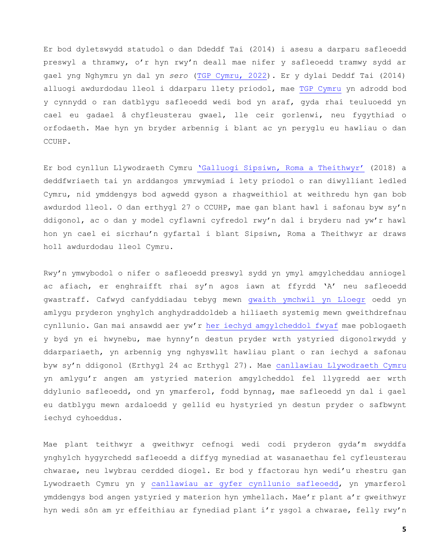Er bod dyletswydd statudol o dan Ddeddf Tai (2014) i asesu a darparu safleoedd preswyl a thramwy, o'r hyn rwy'n deall mae nifer y safleoedd tramwy sydd ar gael yng Nghymru yn dal yn *sero* [\(TGP Cymru, 2022\)](https://business.senedd.wales/documents/s123172/Paper%2015.pdf). Er y dylai Deddf Tai (2014) alluogi awdurdodau lleol i ddarparu llety priodol, mae [TGP Cymru](https://business.senedd.wales/documents/s123172/Paper%2015.pdf) yn adrodd bod y cynnydd o ran datblygu safleoedd wedi bod yn araf, gyda rhai teuluoedd yn cael eu gadael â chyfleusterau gwael, lle ceir gorlenwi, neu fygythiad o orfodaeth. Mae hyn yn bryder arbennig i blant ac yn peryglu eu hawliau o dan CCUHP.

Er bod cynllun Llywodraeth Cymru ['Galluogi Sipsiwn, Roma a Theithwyr'](https://gov.wales/sites/default/files/publications/2019-02/enabling-gypsies-roma-and-travellers_0.pdf#:~:text=Enabling%20Gypsies%2C%20Roma%20and%20Travellers%20replaces%20the%20Welsh,Act%202014%20placed%20duties%20upon%20local%20authorities%20to) (2018) a deddfwriaeth tai yn arddangos ymrwymiad i lety priodol o ran diwylliant ledled Cymru, nid ymddengys bod agwedd gyson a rhagweithiol at weithredu hyn gan bob awdurdod lleol. O dan erthygl 27 o CCUHP, mae gan blant hawl i safonau byw sy'n ddigonol, ac o dan y model cyflawni cyfredol rwy'n dal i bryderu nad yw'r hawl hon yn cael ei sicrhau'n gyfartal i blant Sipsiwn, Roma a Theithwyr ar draws holl awdurdodau lleol Cymru.

Rwy'n ymwybodol o nifer o safleoedd preswyl sydd yn ymyl amgylcheddau anniogel ac afiach, er enghraifft rhai sy'n agos iawn at ffyrdd 'A' neu safleoedd gwastraff. Cafwyd canfyddiadau tebyg mewn [gwaith ymchwil yn Lloegr](https://bylinetimes.com/2021/05/24/systemic-racism-within-a-rigged-system-new-investigation-reveals-how-travellers-sites-are-routinely-placed-in-risky-locations/) oedd yn amlygu pryderon ynghylch anghydraddoldeb a hiliaeth systemig mewn gweithdrefnau cynllunio. Gan mai ansawdd aer yw'r [her iechyd amgylcheddol fwyaf](https://www.edf.org/health/health-impacts-air-pollution#:~:text=Air%20pollution%20is%20now%20the,AIDS%2C%20tuberculosis%20and%20malaria%20combined.) mae poblogaeth y byd yn ei hwynebu, mae hynny'n destun pryder wrth ystyried digonolrwydd y ddarpariaeth, yn arbennig yng nghyswllt hawliau plant o ran iechyd a safonau byw sy'n ddigonol (Erthygl 24 ac Erthygl 27). Mae [canllawiau Llywodraeth Cymru](https://gov.wales/sites/default/files/publications/2019-03/designing-gypsy-and-traveller-sites.pdf) yn amlygu'r angen am ystyried materion amgylcheddol fel llygredd aer wrth ddylunio safleoedd, ond yn ymarferol, fodd bynnag, mae safleoedd yn dal i gael eu datblygu mewn ardaloedd y gellid eu hystyried yn destun pryder o safbwynt iechyd cyhoeddus.

Mae plant teithwyr a gweithwyr cefnogi wedi codi pryderon gyda'm swyddfa ynghylch hygyrchedd safleoedd a diffyg mynediad at wasanaethau fel cyfleusterau chwarae, neu lwybrau cerdded diogel. Er bod y ffactorau hyn wedi'u rhestru gan Lywodraeth Cymru yn y [canllawiau ar gyfer cynllunio safleoedd,](https://gov.wales/sites/default/files/publications/2019-05/planning-for-gypsy-traveller-and-showpeople-sites-wgc-0052018.pdf) yn ymarferol ymddengys bod angen ystyried y materion hyn ymhellach. Mae'r plant a'r gweithwyr hyn wedi sôn am yr effeithiau ar fynediad plant i'r ysgol a chwarae, felly rwy'n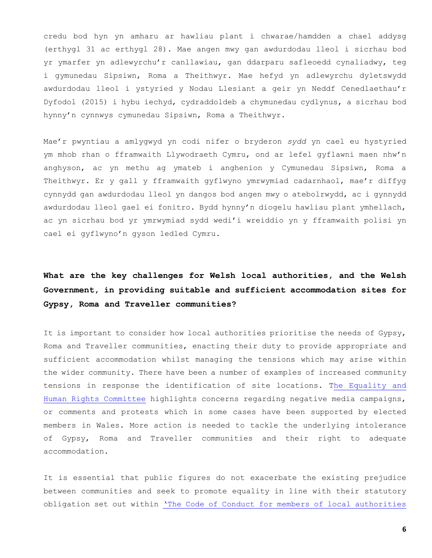credu bod hyn yn amharu ar hawliau plant i chwarae/hamdden a chael addysg (erthygl 31 ac erthygl 28). Mae angen mwy gan awdurdodau lleol i sicrhau bod yr ymarfer yn adlewyrchu'r canllawiau, gan ddarparu safleoedd cynaliadwy, teg i gymunedau Sipsiwn, Roma a Theithwyr. Mae hefyd yn adlewyrchu dyletswydd awdurdodau lleol i ystyried y Nodau Llesiant a geir yn Neddf Cenedlaethau'r Dyfodol (2015) i hybu iechyd, cydraddoldeb a chymunedau cydlynus, a sicrhau bod hynny'n cynnwys cymunedau Sipsiwn, Roma a Theithwyr.

Mae'r pwyntiau a amlygwyd yn codi nifer o bryderon *sydd* yn cael eu hystyried ym mhob rhan o fframwaith Llywodraeth Cymru, ond ar lefel gyflawni maen nhw'n anghyson, ac yn methu ag ymateb i anghenion y Cymunedau Sipsiwn, Roma a Theithwyr. Er y gall y fframwaith gyflwyno ymrwymiad cadarnhaol, mae'r diffyg cynnydd gan awdurdodau lleol yn dangos bod angen mwy o atebolrwydd, ac i gynnydd awdurdodau lleol gael ei fonitro. Bydd hynny'n diogelu hawliau plant ymhellach, ac yn sicrhau bod yr ymrwymiad sydd wedi'i wreiddio yn y fframwaith polisi yn cael ei gyflwyno'n gyson ledled Cymru.

## **What are the key challenges for Welsh local authorities, and the Welsh Government, in providing suitable and sufficient accommodation sites for Gypsy, Roma and Traveller communities?**

It is important to consider how local authorities prioritise the needs of Gypsy, Roma and Traveller communities, enacting their duty to provide appropriate and sufficient accommodation whilst managing the tensions which may arise within the wider community. There have been a number of examples of increased community tensions in response the identification of site locations. [The Equality and](http://www.travellingahead.org.uk/wp-content/uploads/2022/02/Legal-Briefing-Gypsies-Roma-Travellers-and-their-sites-in-Wales-October-2021.pdf)  [Human Rights Committee](http://www.travellingahead.org.uk/wp-content/uploads/2022/02/Legal-Briefing-Gypsies-Roma-Travellers-and-their-sites-in-Wales-October-2021.pdf) highlights concerns regarding negative media campaigns, or comments and protests which in some cases have been supported by elected members in Wales. More action is needed to tackle the underlying intolerance of Gypsy, Roma and Traveller communities and their right to adequate accommodation.

It is essential that public figures do not exacerbate the existing prejudice between communities and seek to promote equality in line with their statutory obligation set out within ['The Code of Conduct for members of local authorities](https://www.ombudsman.wales/wp-content/uploads/2018/03/Code-of-Conduct-Community-Councils-August-2016-ENGLISH.pdf)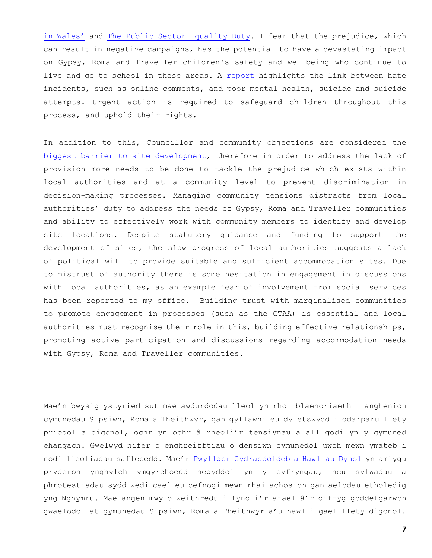[in Wales'](https://www.ombudsman.wales/wp-content/uploads/2018/03/Code-of-Conduct-Community-Councils-August-2016-ENGLISH.pdf) and [The Public Sector Equality Duty.](https://www.equalityhumanrights.com/en/advice-and-guidance/public-sector-equality-duty-wales) I fear that the prejudice, which can result in negative campaigns, has the potential to have a devastating impact on Gypsy, Roma and Traveller children's safety and wellbeing who continue to live and go to school in these areas. A [report](https://gateherts.org.uk/wp-content/uploads/2020/12/Rain-Report-201211.pdf) highlights the link between hate incidents, such as online comments, and poor mental health, suicide and suicide attempts. Urgent action is required to safeguard children throughout this process, and uphold their rights.

In addition to this, Councillor and community objections are considered the [biggest barrier to site development,](http://www.travellingahead.org.uk/wp-content/uploads/2022/02/Legal-Briefing-Gypsies-Roma-Travellers-and-their-sites-in-Wales-October-2021.pdf) therefore in order to address the lack of provision more needs to be done to tackle the prejudice which exists within local authorities and at a community level to prevent discrimination in decision-making processes. Managing community tensions distracts from local authorities' duty to address the needs of Gypsy, Roma and Traveller communities and ability to effectively work with community members to identify and develop site locations. Despite statutory guidance and funding to support the development of sites, the slow progress of local authorities suggests a lack of political will to provide suitable and sufficient accommodation sites. Due to mistrust of authority there is some hesitation in engagement in discussions with local authorities, as an example fear of involvement from social services has been reported to my office. Building trust with marginalised communities to promote engagement in processes (such as the GTAA) is essential and local authorities must recognise their role in this, building effective relationships, promoting active participation and discussions regarding accommodation needs with Gypsy, Roma and Traveller communities.

Mae'n bwysig ystyried sut mae awdurdodau lleol yn rhoi blaenoriaeth i anghenion cymunedau Sipsiwn, Roma a Theithwyr, gan gyflawni eu dyletswydd i ddarparu llety priodol a digonol, ochr yn ochr â rheoli'r tensiynau a all godi yn y gymuned ehangach. Gwelwyd nifer o enghreifftiau o densiwn cymunedol uwch mewn ymateb i nodi lleoliadau safleoedd. Mae'r [Pwyllgor Cydraddoldeb a Hawliau Dynol](http://www.travellingahead.org.uk/wp-content/uploads/2022/02/Legal-Briefing-Gypsies-Roma-Travellers-and-their-sites-in-Wales-October-2021.pdf) yn amlygu pryderon ynghylch ymgyrchoedd negyddol yn y cyfryngau, neu sylwadau a phrotestiadau sydd wedi cael eu cefnogi mewn rhai achosion gan aelodau etholedig yng Nghymru. Mae angen mwy o weithredu i fynd i'r afael â'r diffyg goddefgarwch gwaelodol at gymunedau Sipsiwn, Roma a Theithwyr a'u hawl i gael llety digonol.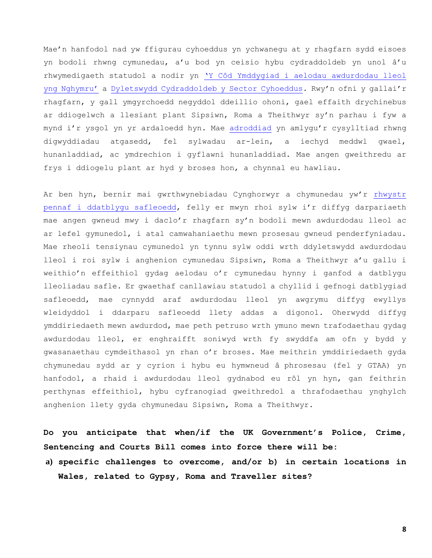Mae'n hanfodol nad yw ffigurau cyhoeddus yn ychwanegu at y rhagfarn sydd eisoes yn bodoli rhwng cymunedau, a'u bod yn ceisio hybu cydraddoldeb yn unol â'u rhwymedigaeth statudol a nodir yn ['Y Côd Ymddygiad i aelodau awdurdodau lleol](https://www.ombudsman.wales/wp-content/uploads/2018/03/Code-of-Conduct-Community-Councils-August-2016-ENGLISH.pdf)  [yng Nghymru'](https://www.ombudsman.wales/wp-content/uploads/2018/03/Code-of-Conduct-Community-Councils-August-2016-ENGLISH.pdf) a [Dyletswydd Cydraddoldeb y](https://www.equalityhumanrights.com/en/advice-and-guidance/public-sector-equality-duty-wales) Sector Cyhoeddus. Rwy'n ofni y gallai'r rhagfarn, y gall ymgyrchoedd negyddol ddeillio ohoni, gael effaith drychinebus ar ddiogelwch a llesiant plant Sipsiwn, Roma a Theithwyr sy'n parhau i fyw a mynd i'r ysgol yn yr ardaloedd hyn. Mae [adroddiad](https://gateherts.org.uk/wp-content/uploads/2020/12/Rain-Report-201211.pdf) yn amlygu'r cysylltiad rhwng digwyddiadau atgasedd, fel sylwadau ar-lein, a iechyd meddwl gwael, hunanladdiad, ac ymdrechion i gyflawni hunanladdiad. Mae angen gweithredu ar frys i ddiogelu plant ar hyd y broses hon, a chynnal eu hawliau.

Ar ben hyn, bernir mai gwrthwynebiadau Cynghorwyr a chymunedau yw'r [rhwystr](http://www.travellingahead.org.uk/wp-content/uploads/2022/02/Legal-Briefing-Gypsies-Roma-Travellers-and-their-sites-in-Wales-October-2021.pdf)  [pennaf i ddatblygu safleoedd](http://www.travellingahead.org.uk/wp-content/uploads/2022/02/Legal-Briefing-Gypsies-Roma-Travellers-and-their-sites-in-Wales-October-2021.pdf), felly er mwyn rhoi sylw i'r diffyg darpariaeth mae angen gwneud mwy i daclo'r rhagfarn sy'n bodoli mewn awdurdodau lleol ac ar lefel gymunedol, i atal camwahaniaethu mewn prosesau gwneud penderfyniadau. Mae rheoli tensiynau cymunedol yn tynnu sylw oddi wrth ddyletswydd awdurdodau lleol i roi sylw i anghenion cymunedau Sipsiwn, Roma a Theithwyr a'u gallu i weithio'n effeithiol gydag aelodau o'r cymunedau hynny i ganfod a datblygu lleoliadau safle. Er gwaethaf canllawiau statudol a chyllid i gefnogi datblygiad safleoedd, mae cynnydd araf awdurdodau lleol yn awgrymu diffyg ewyllys wleidyddol i ddarparu safleoedd llety addas a digonol. Oherwydd diffyg ymddiriedaeth mewn awdurdod, mae peth petruso wrth ymuno mewn trafodaethau gydag awdurdodau lleol, er enghraifft soniwyd wrth fy swyddfa am ofn y bydd y gwasanaethau cymdeithasol yn rhan o'r broses. Mae meithrin ymddiriedaeth gyda chymunedau sydd ar y cyrion i hybu eu hymwneud â phrosesau (fel y GTAA) yn hanfodol, a rhaid i awdurdodau lleol gydnabod eu rôl yn hyn, gan feithrin perthynas effeithiol, hybu cyfranogiad gweithredol a thrafodaethau ynghylch anghenion llety gyda chymunedau Sipsiwn, Roma a Theithwyr.

**Do you anticipate that when/if the UK Government's Police, Crime, Sentencing and Courts Bill comes into force there will be:**

**a) specific challenges to overcome, and/or b) in certain locations in Wales, related to Gypsy, Roma and Traveller sites?**

**8**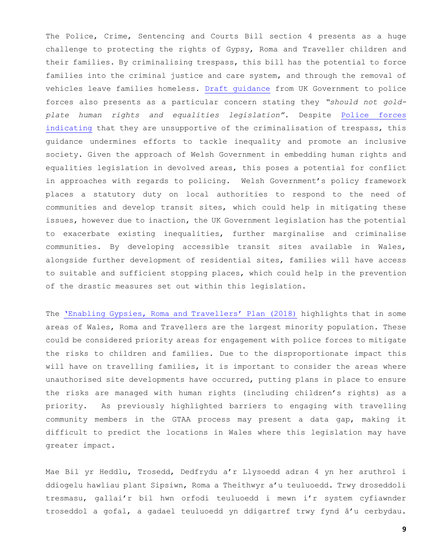The Police, Crime, Sentencing and Courts Bill section 4 presents as a huge challenge to protecting the rights of Gypsy, Roma and Traveller children and their families. By criminalising trespass, this bill has the potential to force families into the criminal justice and care system, and through the removal of vehicles leave families homeless. [Draft guidance](https://assets.publishing.service.gov.uk/government/uploads/system/uploads/attachment_data/file/1026903/Draft_stat_guidance_UEs.pdf) from UK Government to police forces also presents as a particular concern stating they *"should not goldplate human rights and equalities legislation".* Despite [Police forces](https://www.gypsy-traveller.org/news/police-repeat-calls-for-more-sites-rejecting-home-office-proposals-to-criminalise-trespass/)  [indicating](https://www.gypsy-traveller.org/news/police-repeat-calls-for-more-sites-rejecting-home-office-proposals-to-criminalise-trespass/) that they are unsupportive of the criminalisation of trespass, this guidance undermines efforts to tackle inequality and promote an inclusive society. Given the approach of Welsh Government in embedding human rights and equalities legislation in devolved areas, this poses a potential for conflict in approaches with regards to policing. Welsh Government's policy framework places a statutory duty on local authorities to respond to the need of communities and develop transit sites, which could help in mitigating these issues, however due to inaction, the UK Government legislation has the potential to exacerbate existing inequalities, further marginalise and criminalise communities. By developing accessible transit sites available in Wales, alongside further development of residential sites, families will have access to suitable and sufficient stopping places, which could help in the prevention of the drastic measures set out within this legislation.

The ['Enabling Gypsies, Roma and Travellers' Plan \(2018\)](https://gov.wales/sites/default/files/publications/2019-02/enabling-gypsies-roma-and-travellers_0.pdf) highlights that in some areas of Wales, Roma and Travellers are the largest minority population. These could be considered priority areas for engagement with police forces to mitigate the risks to children and families. Due to the disproportionate impact this will have on travelling families, it is important to consider the areas where unauthorised site developments have occurred, putting plans in place to ensure the risks are managed with human rights (including children's rights) as a priority. As previously highlighted barriers to engaging with travelling community members in the GTAA process may present a data gap, making it difficult to predict the locations in Wales where this legislation may have greater impact.

Mae Bil yr Heddlu, Trosedd, Dedfrydu a'r Llysoedd adran 4 yn her aruthrol i ddiogelu hawliau plant Sipsiwn, Roma a Theithwyr a'u teuluoedd. Trwy droseddoli tresmasu, gallai'r bil hwn orfodi teuluoedd i mewn i'r system cyfiawnder troseddol a gofal, a gadael teuluoedd yn ddigartref trwy fynd â'u cerbydau.